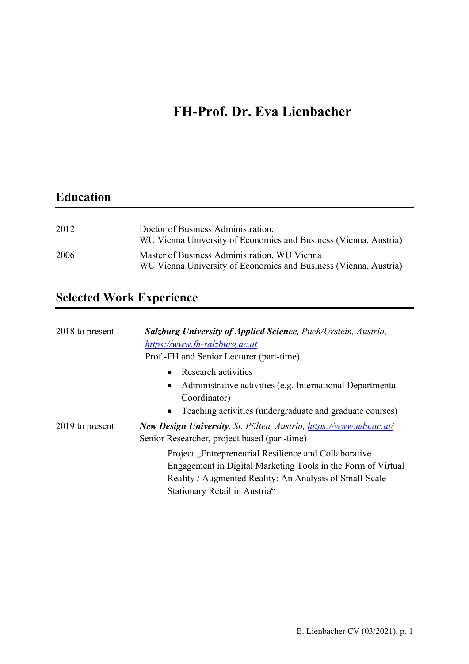# FH-Prof. Dr. Eva Lienbacher

### Education

| 2012 | Doctor of Business Administration,<br>WU Vienna University of Economics and Business (Vienna, Austria)           |
|------|------------------------------------------------------------------------------------------------------------------|
| 2006 | Master of Business Administration, WU Vienna<br>WU Vienna University of Economics and Business (Vienna, Austria) |

## Selected Work Experience

| 2018 to present | <b>Salzburg University of Applied Science</b> , Puch/Urstein, Austria,<br>https://www.fh-salzburg.ac.at<br>Prof.-FH and Senior Lecturer (part-time)                                                                                                                                                           |
|-----------------|---------------------------------------------------------------------------------------------------------------------------------------------------------------------------------------------------------------------------------------------------------------------------------------------------------------|
| 2019 to present | Research activities<br>Administrative activities (e.g. International Departmental<br>$\bullet$<br>Coordinator)<br>Teaching activities (undergraduate and graduate courses)<br>$\bullet$<br>New Design University, St. Pölten, Austria, https://www.ndu.ac.at/<br>Senior Researcher, project based (part-time) |
|                 | Project "Entrepreneurial Resilience and Collaborative<br>Engagement in Digital Marketing Tools in the Form of Virtual<br>Reality / Augmented Reality: An Analysis of Small-Scale<br>Stationary Retail in Austria"                                                                                             |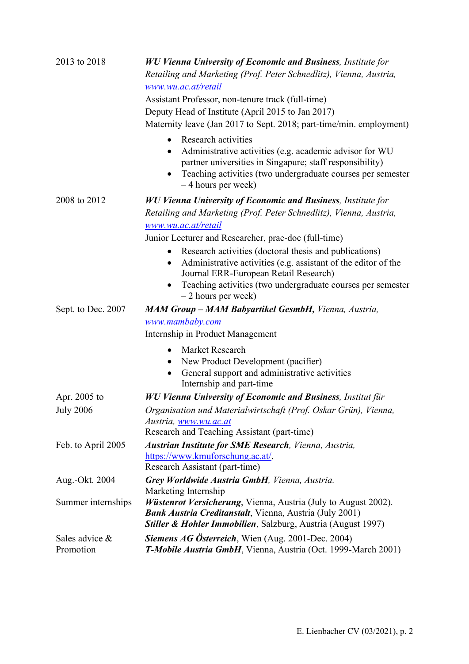| 2013 to 2018       | <b>WU Vienna University of Economic and Business</b> , Institute for                                                                                                                                                                                |
|--------------------|-----------------------------------------------------------------------------------------------------------------------------------------------------------------------------------------------------------------------------------------------------|
|                    | Retailing and Marketing (Prof. Peter Schnedlitz), Vienna, Austria,                                                                                                                                                                                  |
|                    | www.wu.ac.at/retail                                                                                                                                                                                                                                 |
|                    | Assistant Professor, non-tenure track (full-time)                                                                                                                                                                                                   |
|                    | Deputy Head of Institute (April 2015 to Jan 2017)                                                                                                                                                                                                   |
|                    | Maternity leave (Jan 2017 to Sept. 2018; part-time/min. employment)                                                                                                                                                                                 |
|                    | Research activities<br>Administrative activities (e.g. academic advisor for WU<br>$\bullet$<br>partner universities in Singapure; staff responsibility)<br>Teaching activities (two undergraduate courses per semester<br>٠<br>$-4$ hours per week) |
| 2008 to 2012       | <b>WU Vienna University of Economic and Business</b> , Institute for                                                                                                                                                                                |
|                    | Retailing and Marketing (Prof. Peter Schnedlitz), Vienna, Austria,                                                                                                                                                                                  |
|                    | www.wu.ac.at/retail                                                                                                                                                                                                                                 |
|                    | Junior Lecturer and Researcher, prae-doc (full-time)                                                                                                                                                                                                |
|                    | Research activities (doctoral thesis and publications)<br>$\bullet$                                                                                                                                                                                 |
|                    | Administrative activities (e.g. assistant of the editor of the                                                                                                                                                                                      |
|                    | Journal ERR-European Retail Research)<br>Teaching activities (two undergraduate courses per semester<br>$\bullet$                                                                                                                                   |
|                    | $-2$ hours per week)                                                                                                                                                                                                                                |
| Sept. to Dec. 2007 | MAM Group - MAM Babyartikel GesmbH, Vienna, Austria,                                                                                                                                                                                                |
|                    | www.mambaby.com                                                                                                                                                                                                                                     |
|                    | Internship in Product Management                                                                                                                                                                                                                    |
|                    | Market Research<br>$\bullet$                                                                                                                                                                                                                        |
|                    | New Product Development (pacifier)                                                                                                                                                                                                                  |
|                    | General support and administrative activities                                                                                                                                                                                                       |
|                    | Internship and part-time                                                                                                                                                                                                                            |
| Apr. 2005 to       | <b>WU Vienna University of Economic and Business</b> , Institut für                                                                                                                                                                                 |
| <b>July 2006</b>   | Organisation und Materialwirtschaft (Prof. Oskar Grün), Vienna,<br>Austria, www.wu.ac.at                                                                                                                                                            |
|                    | Research and Teaching Assistant (part-time)                                                                                                                                                                                                         |
| Feb. to April 2005 | Austrian Institute for SME Research, Vienna, Austria,                                                                                                                                                                                               |
|                    | https://www.kmuforschung.ac.at/.                                                                                                                                                                                                                    |
|                    | Research Assistant (part-time)                                                                                                                                                                                                                      |
| Aug.-Okt. 2004     | Grey Worldwide Austria GmbH, Vienna, Austria.<br>Marketing Internship                                                                                                                                                                               |
| Summer internships | <b>Wüstenrot Versicherung</b> , Vienna, Austria (July to August 2002).<br><b>Bank Austria Creditanstalt</b> , Vienna, Austria (July 2001)                                                                                                           |
|                    | <b>Stiller &amp; Hohler Immobilien, Salzburg, Austria (August 1997)</b>                                                                                                                                                                             |
| Sales advice &     | <b>Siemens AG Österreich, Wien (Aug. 2001-Dec. 2004)</b>                                                                                                                                                                                            |
| Promotion          | T-Mobile Austria GmbH, Vienna, Austria (Oct. 1999-March 2001)                                                                                                                                                                                       |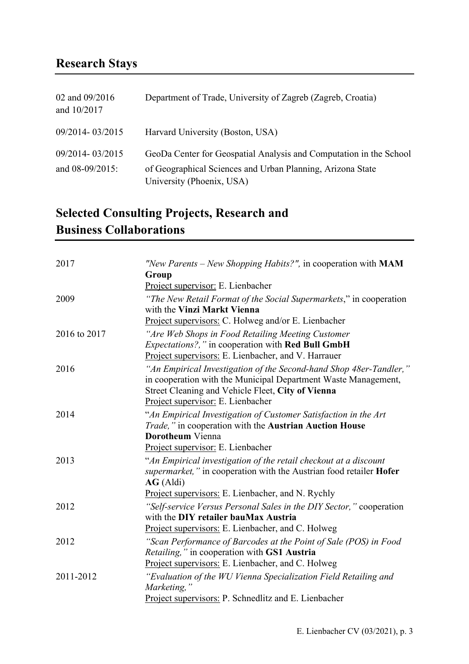### Research Stays

| 02 and 09/2016<br>and 10/2017         | Department of Trade, University of Zagreb (Zagreb, Croatia)                                                                                                   |
|---------------------------------------|---------------------------------------------------------------------------------------------------------------------------------------------------------------|
| 09/2014-03/2015                       | Harvard University (Boston, USA)                                                                                                                              |
| 09/2014-03/2015<br>and $08-09/2015$ : | GeoDa Center for Geospatial Analysis and Computation in the School<br>of Geographical Sciences and Urban Planning, Arizona State<br>University (Phoenix, USA) |

## Selected Consulting Projects, Research and Business Collaborations

| 2017         | "New Parents - New Shopping Habits?", in cooperation with MAM<br>Group                                                                                                                                                         |
|--------------|--------------------------------------------------------------------------------------------------------------------------------------------------------------------------------------------------------------------------------|
|              | Project supervisor: E. Lienbacher                                                                                                                                                                                              |
| 2009         | "The New Retail Format of the Social Supermarkets," in cooperation<br>with the Vinzi Markt Vienna                                                                                                                              |
|              | Project supervisors: C. Holweg and/or E. Lienbacher                                                                                                                                                                            |
| 2016 to 2017 | "Are Web Shops in Food Retailing Meeting Customer<br><i>Expectations?,</i> " in cooperation with <b>Red Bull GmbH</b><br>Project supervisors: E. Lienbacher, and V. Harrauer                                                   |
| 2016         | "An Empirical Investigation of the Second-hand Shop 48er-Tandler,"<br>in cooperation with the Municipal Department Waste Management,<br>Street Cleaning and Vehicle Fleet, City of Vienna<br>Project supervisor: E. Lienbacher |
| 2014         | "An Empirical Investigation of Customer Satisfaction in the Art<br>Trade," in cooperation with the Austrian Auction House                                                                                                      |
|              | <b>Dorotheum</b> Vienna<br>Project supervisor: E. Lienbacher                                                                                                                                                                   |
| 2013         | "An Empirical investigation of the retail checkout at a discount<br><i>supermarket,</i> " in cooperation with the Austrian food retailer <b>Hofer</b><br>AG (Aldi)                                                             |
|              | Project supervisors: E. Lienbacher, and N. Rychly                                                                                                                                                                              |
| 2012         | "Self-service Versus Personal Sales in the DIY Sector," cooperation<br>with the DIY retailer bauMax Austria<br>Project supervisors: E. Lienbacher, and C. Holweg                                                               |
| 2012         | "Scan Performance of Barcodes at the Point of Sale (POS) in Food                                                                                                                                                               |
|              | Retailing," in cooperation with GS1 Austria                                                                                                                                                                                    |
|              | Project supervisors: E. Lienbacher, and C. Holweg                                                                                                                                                                              |
| 2011-2012    | "Evaluation of the WU Vienna Specialization Field Retailing and<br>Marketing,"                                                                                                                                                 |
|              | Project supervisors: P. Schnedlitz and E. Lienbacher                                                                                                                                                                           |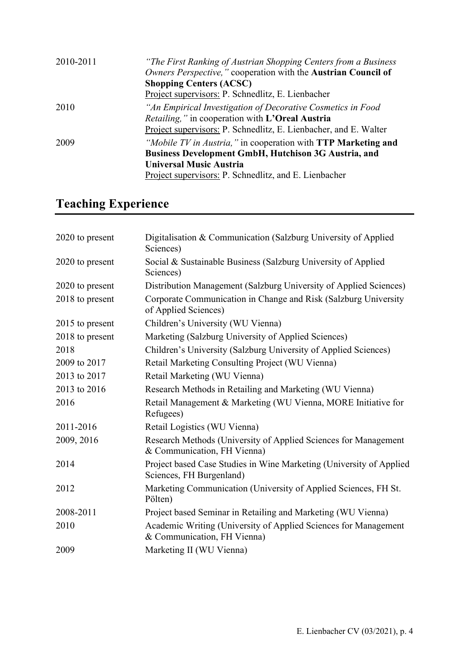| 2010-2011 | "The First Ranking of Austrian Shopping Centers from a Business"<br>Owners Perspective," cooperation with the Austrian Council of<br><b>Shopping Centers (ACSC)</b>                                                                   |
|-----------|---------------------------------------------------------------------------------------------------------------------------------------------------------------------------------------------------------------------------------------|
|           | Project supervisors: P. Schnedlitz, E. Lienbacher                                                                                                                                                                                     |
| 2010      | "An Empirical Investigation of Decorative Cosmetics in Food<br><i>Retailing,</i> " in cooperation with <b>L'Oreal Austria</b><br>Project supervisors: P. Schnedlitz, E. Lienbacher, and E. Walter                                     |
| 2009      | <i>"Mobile TV in Austria,"</i> in cooperation with <b>TTP Marketing and</b><br><b>Business Development GmbH, Hutchison 3G Austria, and</b><br><b>Universal Music Austria</b><br>Project supervisors: P. Schnedlitz, and E. Lienbacher |

# Teaching Experience

| 2020 to present | Digitalisation & Communication (Salzburg University of Applied<br>Sciences)                     |
|-----------------|-------------------------------------------------------------------------------------------------|
| 2020 to present | Social & Sustainable Business (Salzburg University of Applied<br>Sciences)                      |
| 2020 to present | Distribution Management (Salzburg University of Applied Sciences)                               |
| 2018 to present | Corporate Communication in Change and Risk (Salzburg University<br>of Applied Sciences)         |
| 2015 to present | Children's University (WU Vienna)                                                               |
| 2018 to present | Marketing (Salzburg University of Applied Sciences)                                             |
| 2018            | Children's University (Salzburg University of Applied Sciences)                                 |
| 2009 to 2017    | Retail Marketing Consulting Project (WU Vienna)                                                 |
| 2013 to 2017    | Retail Marketing (WU Vienna)                                                                    |
| 2013 to 2016    | Research Methods in Retailing and Marketing (WU Vienna)                                         |
| 2016            | Retail Management & Marketing (WU Vienna, MORE Initiative for<br>Refugees)                      |
| 2011-2016       | Retail Logistics (WU Vienna)                                                                    |
| 2009, 2016      | Research Methods (University of Applied Sciences for Management<br>& Communication, FH Vienna)  |
| 2014            | Project based Case Studies in Wine Marketing (University of Applied<br>Sciences, FH Burgenland) |
| 2012            | Marketing Communication (University of Applied Sciences, FH St.<br>Pölten)                      |
| 2008-2011       | Project based Seminar in Retailing and Marketing (WU Vienna)                                    |
| 2010            | Academic Writing (University of Applied Sciences for Management<br>& Communication, FH Vienna)  |
| 2009            | Marketing II (WU Vienna)                                                                        |
|                 |                                                                                                 |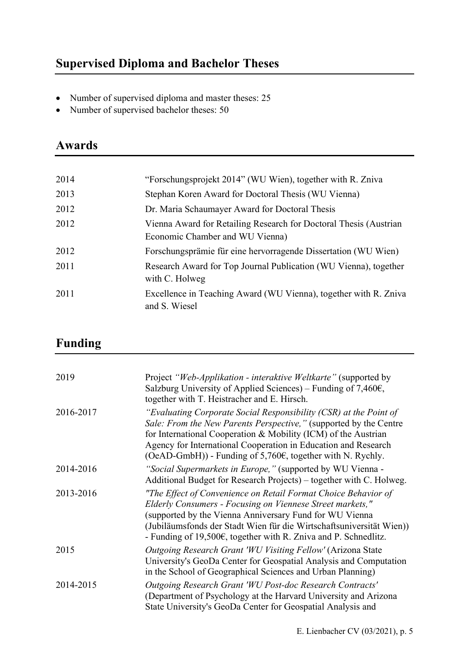- Number of supervised diploma and master theses: 25
- Number of supervised bachelor theses: 50

### Awards

| 2014 | "Forschungsprojekt 2014" (WU Wien), together with R. Zniva                                           |
|------|------------------------------------------------------------------------------------------------------|
| 2013 | Stephan Koren Award for Doctoral Thesis (WU Vienna)                                                  |
| 2012 | Dr. Maria Schaumayer Award for Doctoral Thesis                                                       |
| 2012 | Vienna Award for Retailing Research for Doctoral Thesis (Austrian<br>Economic Chamber and WU Vienna) |
| 2012 | Forschungsprämie für eine hervorragende Dissertation (WU Wien)                                       |
| 2011 | Research Award for Top Journal Publication (WU Vienna), together<br>with C. Holweg                   |
| 2011 | Excellence in Teaching Award (WU Vienna), together with R. Zniva<br>and S. Wiesel                    |

## Funding

| 2019      | Project "Web-Applikation - interaktive Weltkarte" (supported by<br>Salzburg University of Applied Sciences) – Funding of 7,460 $\epsilon$ ,<br>together with T. Heistracher and E. Hirsch.                                                                                                                                                            |
|-----------|-------------------------------------------------------------------------------------------------------------------------------------------------------------------------------------------------------------------------------------------------------------------------------------------------------------------------------------------------------|
| 2016-2017 | "Evaluating Corporate Social Responsibility (CSR) at the Point of<br>Sale: From the New Parents Perspective," (supported by the Centre<br>for International Cooperation & Mobility (ICM) of the Austrian<br>Agency for International Cooperation in Education and Research<br>$(OeAD-GmbH))$ - Funding of 5,760 $\epsilon$ , together with N. Rychly. |
| 2014-2016 | "Social Supermarkets in Europe," (supported by WU Vienna -<br>Additional Budget for Research Projects) – together with C. Holweg.                                                                                                                                                                                                                     |
| 2013-2016 | "The Effect of Convenience on Retail Format Choice Behavior of<br>Elderly Consumers - Focusing on Viennese Street markets,"<br>(supported by the Vienna Anniversary Fund for WU Vienna<br>(Jubiläumsfonds der Stadt Wien für die Wirtschaftsuniversität Wien))<br>- Funding of $19,500$ €, together with R. Zniva and P. Schnedlitz.                  |
| 2015      | Outgoing Research Grant 'WU Visiting Fellow' (Arizona State<br>University's GeoDa Center for Geospatial Analysis and Computation<br>in the School of Geographical Sciences and Urban Planning)                                                                                                                                                        |
| 2014-2015 | Outgoing Research Grant 'WU Post-doc Research Contracts'<br>(Department of Psychology at the Harvard University and Arizona<br>State University's GeoDa Center for Geospatial Analysis and                                                                                                                                                            |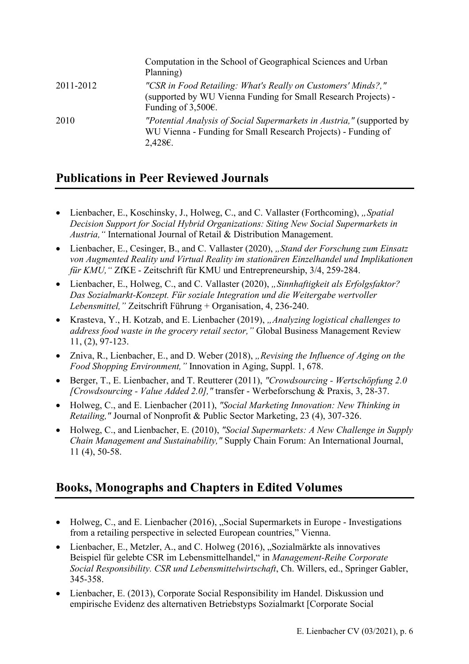|           | Computation in the School of Geographical Sciences and Urban<br>Planning)                                                                                         |
|-----------|-------------------------------------------------------------------------------------------------------------------------------------------------------------------|
| 2011-2012 | "CSR in Food Retailing: What's Really on Customers' Minds?,"<br>(supported by WU Vienna Funding for Small Research Projects) -<br>Funding of $3,500$ $\epsilon$ . |
| 2010      | "Potential Analysis of Social Supermarkets in Austria," (supported by<br>WU Vienna - Funding for Small Research Projects) - Funding of<br>$2,428€$ .              |

#### Publications in Peer Reviewed Journals

- Lienbacher, E., Koschinsky, J., Holweg, C., and C. Vallaster (Forthcoming), "Spatial Decision Support for Social Hybrid Organizations: Siting New Social Supermarkets in Austria," International Journal of Retail & Distribution Management.
- Lienbacher, E., Cesinger, B., and C. Vallaster (2020), "Stand der Forschung zum Einsatz von Augmented Reality und Virtual Reality im stationären Einzelhandel und Implikationen für KMU," ZfKE - Zeitschrift für KMU und Entrepreneurship, 3/4, 259-284.
- Lienbacher, E., Holweg, C., and C. Vallaster (2020), "Sinnhaftigkeit als Erfolgsfaktor? Das Sozialmarkt-Konzept. Für soziale Integration und die Weitergabe wertvoller Lebensmittel," Zeitschrift Führung + Organisation, 4, 236-240.
- Krasteva, Y., H. Kotzab, and E. Lienbacher (2019), "Analyzing logistical challenges to address food waste in the grocery retail sector," Global Business Management Review 11, (2), 97-123.
- Zniva, R., Lienbacher, E., and D. Weber (2018), "Revising the Influence of Aging on the Food Shopping Environment," Innovation in Aging, Suppl. 1, 678.
- Berger, T., E. Lienbacher, and T. Reutterer (2011), "Crowdsourcing Wertschöpfung 2.0 [Crowdsourcing - Value Added 2.0]," transfer - Werbeforschung & Praxis, 3, 28-37.
- Holweg, C., and E. Lienbacher (2011), "Social Marketing Innovation: New Thinking in Retailing," Journal of Nonprofit & Public Sector Marketing, 23 (4), 307-326.
- Holweg, C., and Lienbacher, E. (2010), "Social Supermarkets: A New Challenge in Supply Chain Management and Sustainability," Supply Chain Forum: An International Journal, 11 (4), 50-58.

#### Books, Monographs and Chapters in Edited Volumes

- Holweg, C., and E. Lienbacher (2016), "Social Supermarkets in Europe Investigations from a retailing perspective in selected European countries," Vienna.
- Lienbacher, E., Metzler, A., and C. Holweg (2016), "Sozialmärkte als innovatives Beispiel für gelebte CSR im Lebensmittelhandel," in Management-Reihe Corporate Social Responsibility. CSR und Lebensmittelwirtschaft, Ch. Willers, ed., Springer Gabler, 345-358.
- Lienbacher, E. (2013), Corporate Social Responsibility im Handel. Diskussion und empirische Evidenz des alternativen Betriebstyps Sozialmarkt [Corporate Social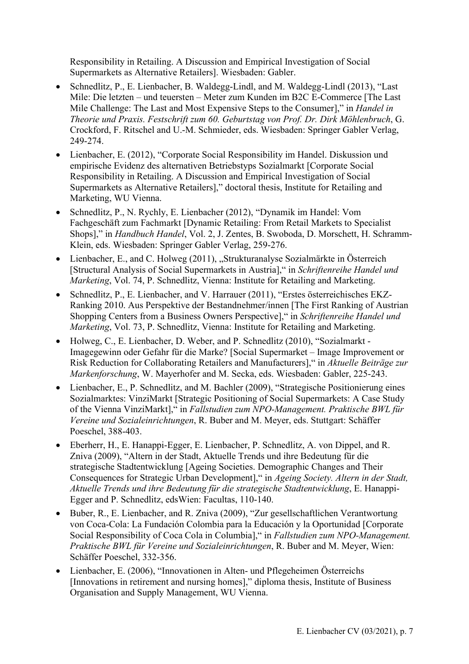Responsibility in Retailing. A Discussion and Empirical Investigation of Social Supermarkets as Alternative Retailers]. Wiesbaden: Gabler.

- Schnedlitz, P., E. Lienbacher, B. Waldegg-Lindl, and M. Waldegg-Lindl (2013), "Last Mile: Die letzten – und teuersten – Meter zum Kunden im B2C E-Commerce [The Last Mile Challenge: The Last and Most Expensive Steps to the Consumer]," in *Handel in* Theorie und Praxis. Festschrift zum 60. Geburtstag von Prof. Dr. Dirk Möhlenbruch, G. Crockford, F. Ritschel and U.-M. Schmieder, eds. Wiesbaden: Springer Gabler Verlag, 249-274.
- Lienbacher, E. (2012), "Corporate Social Responsibility im Handel. Diskussion und empirische Evidenz des alternativen Betriebstyps Sozialmarkt [Corporate Social Responsibility in Retailing. A Discussion and Empirical Investigation of Social Supermarkets as Alternative Retailers]," doctoral thesis, Institute for Retailing and Marketing, WU Vienna.
- Schnedlitz, P., N. Rychly, E. Lienbacher (2012), "Dynamik im Handel: Vom Fachgeschäft zum Fachmarkt [Dynamic Retailing: From Retail Markets to Specialist Shops]," in Handbuch Handel, Vol. 2, J. Zentes, B. Swoboda, D. Morschett, H. Schramm-Klein, eds. Wiesbaden: Springer Gabler Verlag, 259-276.
- Lienbacher, E., and C. Holweg (2011), "Strukturanalyse Sozialmärkte in Österreich [Structural Analysis of Social Supermarkets in Austria]," in Schriftenreihe Handel und Marketing, Vol. 74, P. Schnedlitz, Vienna: Institute for Retailing and Marketing.
- Schnedlitz, P., E. Lienbacher, and V. Harrauer (2011), "Erstes österreichisches EKZ-Ranking 2010. Aus Perspektive der Bestandnehmer/innen [The First Ranking of Austrian Shopping Centers from a Business Owners Perspective]," in Schriftenreihe Handel und Marketing, Vol. 73, P. Schnedlitz, Vienna: Institute for Retailing and Marketing.
- Holweg, C., E. Lienbacher, D. Weber, and P. Schnedlitz (2010), "Sozialmarkt Imagegewinn oder Gefahr für die Marke? [Social Supermarket – Image Improvement or Risk Reduction for Collaborating Retailers and Manufacturers]," in Aktuelle Beiträge zur Markenforschung, W. Mayerhofer and M. Secka, eds. Wiesbaden: Gabler, 225-243.
- Lienbacher, E., P. Schnedlitz, and M. Bachler (2009), "Strategische Positionierung eines Sozialmarktes: VinziMarkt [Strategic Positioning of Social Supermarkets: A Case Study of the Vienna VinziMarkt]," in Fallstudien zum NPO-Management. Praktische BWL für Vereine und Sozialeinrichtungen, R. Buber and M. Meyer, eds. Stuttgart: Schäffer Poeschel, 388-403.
- Eberherr, H., E. Hanappi-Egger, E. Lienbacher, P. Schnedlitz, A. von Dippel, and R. Zniva (2009), "Altern in der Stadt, Aktuelle Trends und ihre Bedeutung für die strategische Stadtentwicklung [Ageing Societies. Demographic Changes and Their Consequences for Strategic Urban Development]," in Ageing Society. Altern in der Stadt, Aktuelle Trends und ihre Bedeutung für die strategische Stadtentwicklung, E. Hanappi-Egger and P. Schnedlitz, edsWien: Facultas, 110-140.
- Buber, R., E. Lienbacher, and R. Zniva (2009), "Zur gesellschaftlichen Verantwortung von Coca-Cola: La Fundación Colombia para la Educación y la Oportunidad [Corporate Social Responsibility of Coca Cola in Columbia]," in Fallstudien zum NPO-Management. Praktische BWL für Vereine und Sozialeinrichtungen, R. Buber and M. Meyer, Wien: Schäffer Poeschel, 332-356.
- Lienbacher, E. (2006), "Innovationen in Alten- und Pflegeheimen Österreichs [Innovations in retirement and nursing homes]," diploma thesis, Institute of Business Organisation and Supply Management, WU Vienna.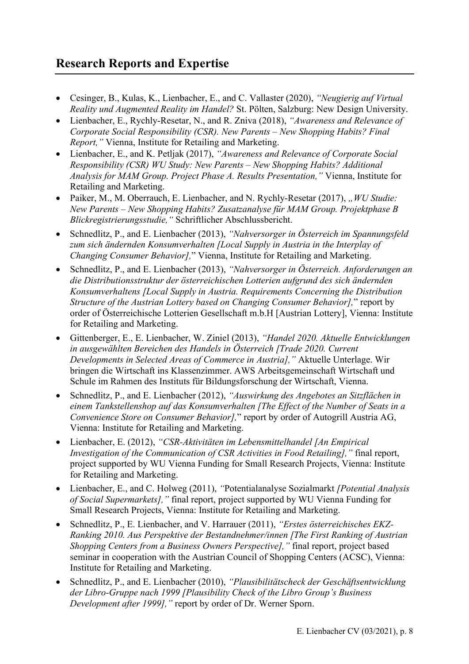### Research Reports and Expertise

- Cesinger, B., Kulas, K., Lienbacher, E., and C. Vallaster (2020), "Neugierig auf Virtual Reality und Augmented Reality im Handel? St. Pölten, Salzburg: New Design University.
- Lienbacher, E., Rychly-Resetar, N., and R. Zniva (2018), "Awareness and Relevance of Corporate Social Responsibility (CSR). New Parents – New Shopping Habits? Final Report," Vienna, Institute for Retailing and Marketing.
- Lienbacher, E., and K. Petljak (2017), "Awareness and Relevance of Corporate Social Responsibility (CSR) WU Study: New Parents – New Shopping Habits? Additional Analysis for MAM Group. Project Phase A. Results Presentation," Vienna, Institute for Retailing and Marketing.
- Paiker, M., M. Oberrauch, E. Lienbacher, and N. Rychly-Resetar (2017), "*WU Studie:* New Parents – New Shopping Habits? Zusatzanalyse für MAM Group. Projektphase B Blickregistrierungsstudie," Schriftlicher Abschlussbericht.
- Schnedlitz, P., and E. Lienbacher (2013), "Nahversorger in Österreich im Spannungsfeld zum sich ändernden Konsumverhalten [Local Supply in Austria in the Interplay of Changing Consumer Behavior]," Vienna, Institute for Retailing and Marketing.
- Schnedlitz, P., and E. Lienbacher (2013), "Nahversorger in Österreich. Anforderungen an die Distributionsstruktur der österreichischen Lotterien aufgrund des sich ändernden Konsumverhaltens [Local Supply in Austria. Requirements Concerning the Distribution Structure of the Austrian Lottery based on Changing Consumer Behavior]," report by order of Österreichische Lotterien Gesellschaft m.b.H [Austrian Lottery], Vienna: Institute for Retailing and Marketing.
- Gittenberger, E., E. Lienbacher, W. Ziniel (2013), "Handel 2020. Aktuelle Entwicklungen in ausgewählten Bereichen des Handels in Österreich [Trade 2020. Current Developments in Selected Areas of Commerce in Austria]," Aktuelle Unterlage. Wir bringen die Wirtschaft ins Klassenzimmer. AWS Arbeitsgemeinschaft Wirtschaft und Schule im Rahmen des Instituts für Bildungsforschung der Wirtschaft, Vienna.
- Schnedlitz, P., and E. Lienbacher (2012), "Auswirkung des Angebotes an Sitzflächen in einem Tankstellenshop auf das Konsumverhalten [The Effect of the Number of Seats in a Convenience Store on Consumer Behavior]," report by order of Autogrill Austria AG, Vienna: Institute for Retailing and Marketing.
- Lienbacher, E. (2012), "CSR-Aktivitäten im Lebensmittelhandel [An Empirical Investigation of the Communication of CSR Activities in Food Retailing]," final report, project supported by WU Vienna Funding for Small Research Projects, Vienna: Institute for Retailing and Marketing.
- Lienbacher, E., and C. Holweg (2011), "Potentialanalyse Sozialmarkt *[Potential Analysis* of Social Supermarkets]," final report, project supported by WU Vienna Funding for Small Research Projects, Vienna: Institute for Retailing and Marketing.
- Schnedlitz, P., E. Lienbacher, and V. Harrauer (2011), "Erstes österreichisches EKZ-Ranking 2010. Aus Perspektive der Bestandnehmer/innen [The First Ranking of Austrian Shopping Centers from a Business Owners Perspective]," final report, project based seminar in cooperation with the Austrian Council of Shopping Centers (ACSC), Vienna: Institute for Retailing and Marketing.
- Schnedlitz, P., and E. Lienbacher (2010), "Plausibilitätscheck der Geschäftsentwicklung der Libro-Gruppe nach 1999 [Plausibility Check of the Libro Group's Business Development after 1999]," report by order of Dr. Werner Sporn.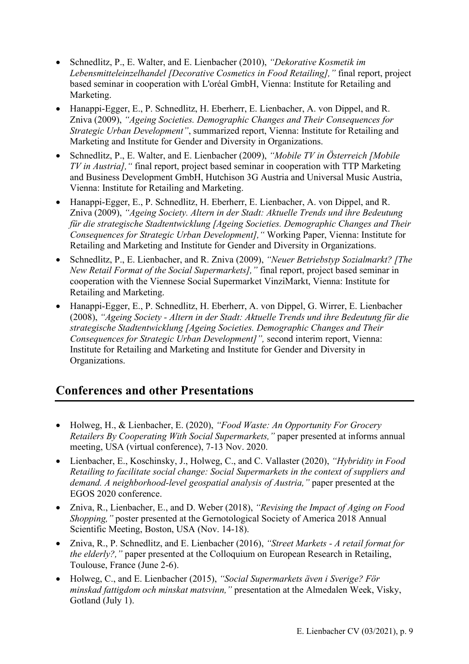- Schnedlitz, P., E. Walter, and E. Lienbacher (2010), "Dekorative Kosmetik im Lebensmitteleinzelhandel [Decorative Cosmetics in Food Retailing]," final report, project based seminar in cooperation with L'oréal GmbH, Vienna: Institute for Retailing and Marketing.
- Hanappi-Egger, E., P. Schnedlitz, H. Eberherr, E. Lienbacher, A. von Dippel, and R. Zniva (2009), "Ageing Societies. Demographic Changes and Their Consequences for Strategic Urban Development", summarized report, Vienna: Institute for Retailing and Marketing and Institute for Gender and Diversity in Organizations.
- Schnedlitz, P., E. Walter, and E. Lienbacher (2009), "Mobile TV in Österreich [Mobile TV in Austria]," final report, project based seminar in cooperation with TTP Marketing and Business Development GmbH, Hutchison 3G Austria and Universal Music Austria, Vienna: Institute for Retailing and Marketing.
- Hanappi-Egger, E., P. Schnedlitz, H. Eberherr, E. Lienbacher, A. von Dippel, and R. Zniva (2009), "Ageing Society. Altern in der Stadt: Aktuelle Trends und ihre Bedeutung für die strategische Stadtentwicklung [Ageing Societies. Demographic Changes and Their Consequences for Strategic Urban Development]," Working Paper, Vienna: Institute for Retailing and Marketing and Institute for Gender and Diversity in Organizations.
- Schnedlitz, P., E. Lienbacher, and R. Zniva (2009), "Neuer Betriebstyp Sozialmarkt? [The New Retail Format of the Social Supermarkets]," final report, project based seminar in cooperation with the Viennese Social Supermarket VinziMarkt, Vienna: Institute for Retailing and Marketing.
- Hanappi-Egger, E., P. Schnedlitz, H. Eberherr, A. von Dippel, G. Wirrer, E. Lienbacher (2008), "Ageing Society - Altern in der Stadt: Aktuelle Trends und ihre Bedeutung für die strategische Stadtentwicklung [Ageing Societies. Demographic Changes and Their Consequences for Strategic Urban Development]", second interim report, Vienna: Institute for Retailing and Marketing and Institute for Gender and Diversity in Organizations.

#### Conferences and other Presentations

- Holweg, H., & Lienbacher, E. (2020), "Food Waste: An Opportunity For Grocery Retailers By Cooperating With Social Supermarkets," paper presented at informs annual meeting, USA (virtual conference), 7-13 Nov. 2020.
- Lienbacher, E., Koschinsky, J., Holweg, C., and C. Vallaster (2020), "Hybridity in Food Retailing to facilitate social change: Social Supermarkets in the context of suppliers and demand. A neighborhood-level geospatial analysis of Austria," paper presented at the EGOS 2020 conference.
- Zniva, R., Lienbacher, E., and D. Weber (2018), "Revising the Impact of Aging on Food Shopping," poster presented at the Gernotological Society of America 2018 Annual Scientific Meeting, Boston, USA (Nov. 14-18).
- Zniva, R., P. Schnedlitz, and E. Lienbacher (2016), "Street Markets A retail format for the elderly?, " paper presented at the Colloquium on European Research in Retailing, Toulouse, France (June 2-6).
- Holweg, C., and E. Lienbacher (2015), "Social Supermarkets även i Sverige? För minskad fattigdom och minskat matsvinn," presentation at the Almedalen Week, Visky, Gotland (July 1).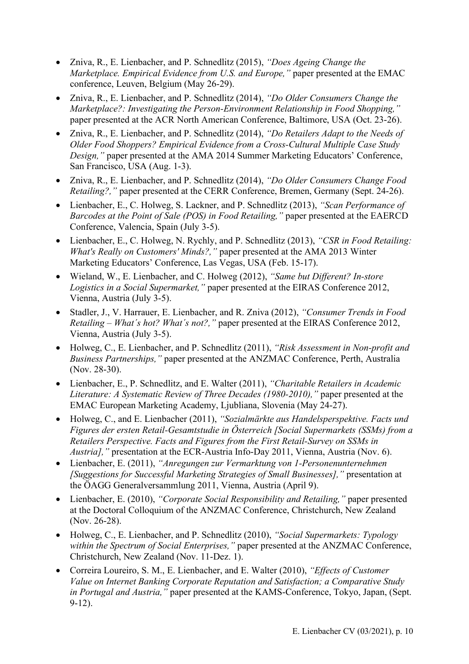- Zniva, R., E. Lienbacher, and P. Schnedlitz (2015), "Does Ageing Change the Marketplace. Empirical Evidence from U.S. and Europe," paper presented at the EMAC conference, Leuven, Belgium (May 26-29).
- Zniva, R., E. Lienbacher, and P. Schnedlitz (2014), "Do Older Consumers Change the Marketplace?: Investigating the Person-Environment Relationship in Food Shopping," paper presented at the ACR North American Conference, Baltimore, USA (Oct. 23-26).
- Zniva, R., E. Lienbacher, and P. Schnedlitz (2014), "Do Retailers Adapt to the Needs of Older Food Shoppers? Empirical Evidence from a Cross-Cultural Multiple Case Study Design," paper presented at the AMA 2014 Summer Marketing Educators' Conference, San Francisco, USA (Aug. 1-3).
- Zniva, R., E. Lienbacher, and P. Schnedlitz (2014), "Do Older Consumers Change Food Retailing?," paper presented at the CERR Conference, Bremen, Germany (Sept. 24-26).
- Lienbacher, E., C. Holweg, S. Lackner, and P. Schnedlitz (2013), "Scan Performance of Barcodes at the Point of Sale (POS) in Food Retailing," paper presented at the EAERCD Conference, Valencia, Spain (July 3-5).
- Lienbacher, E., C. Holweg, N. Rychly, and P. Schnedlitz (2013), "CSR in Food Retailing: What's Really on Customers' Minds?," paper presented at the AMA 2013 Winter Marketing Educators' Conference, Las Vegas, USA (Feb. 15-17).
- Wieland, W., E. Lienbacher, and C. Holweg (2012), "Same but Different? In-store Logistics in a Social Supermarket," paper presented at the EIRAS Conference 2012, Vienna, Austria (July 3-5).
- Stadler, J., V. Harrauer, E. Lienbacher, and R. Zniva (2012), "Consumer Trends in Food Retailing – What´s hot? What´s not?," paper presented at the EIRAS Conference 2012, Vienna, Austria (July 3-5).
- Holweg, C., E. Lienbacher, and P. Schnedlitz (2011), "Risk Assessment in Non-profit and Business Partnerships," paper presented at the ANZMAC Conference, Perth, Australia (Nov. 28-30).
- Lienbacher, E., P. Schnedlitz, and E. Walter (2011), "Charitable Retailers in Academic Literature: A Systematic Review of Three Decades (1980-2010)," paper presented at the EMAC European Marketing Academy, Ljubliana, Slovenia (May 24-27).
- Holweg, C., and E. Lienbacher (2011), "Sozialmärkte aus Handelsperspektive. Facts und Figures der ersten Retail-Gesamtstudie in Österreich [Social Supermarkets (SSMs) from a Retailers Perspective. Facts and Figures from the First Retail-Survey on SSMs in Austria]," presentation at the ECR-Austria Info-Day 2011, Vienna, Austria (Nov. 6).
- Lienbacher, E. (2011), "Anregungen zur Vermarktung von 1-Personenunternehmen [Suggestions for Successful Marketing Strategies of Small Businesses]," presentation at the ÖAGG Generalversammlung 2011, Vienna, Austria (April 9).
- Lienbacher, E. (2010), "Corporate Social Responsibility and Retailing," paper presented at the Doctoral Colloquium of the ANZMAC Conference, Christchurch, New Zealand (Nov. 26-28).
- Holweg, C., E. Lienbacher, and P. Schnedlitz (2010), "Social Supermarkets: Typology within the Spectrum of Social Enterprises," paper presented at the ANZMAC Conference, Christchurch, New Zealand (Nov. 11-Dez. 1).
- Correira Loureiro, S. M., E. Lienbacher, and E. Walter (2010), "Effects of Customer Value on Internet Banking Corporate Reputation and Satisfaction; a Comparative Study in Portugal and Austria," paper presented at the KAMS-Conference, Tokyo, Japan, (Sept. 9-12).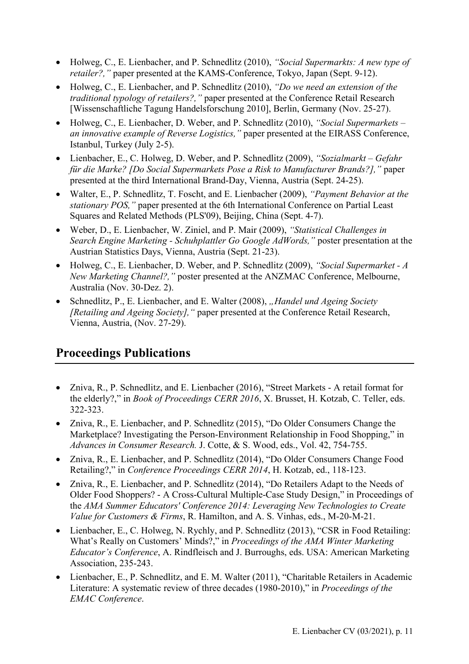- Holweg, C., E. Lienbacher, and P. Schnedlitz (2010), "Social Supermarkts: A new type of retailer?," paper presented at the KAMS-Conference, Tokyo, Japan (Sept. 9-12).
- Holweg, C., E. Lienbacher, and P. Schnedlitz (2010), "Do we need an extension of the traditional typology of retailers?," paper presented at the Conference Retail Research [Wissenschaftliche Tagung Handelsforschung 2010], Berlin, Germany (Nov. 25-27).
- Holweg, C., E. Lienbacher, D. Weber, and P. Schnedlitz (2010), "Social Supermarkets an innovative example of Reverse Logistics," paper presented at the EIRASS Conference, Istanbul, Turkey (July 2-5).
- Lienbacher, E., C. Holweg, D. Weber, and P. Schnedlitz (2009), "Sozialmarkt Gefahr für die Marke? [Do Social Supermarkets Pose a Risk to Manufacturer Brands?]," paper presented at the third International Brand-Day, Vienna, Austria (Sept. 24-25).
- Walter, E., P. Schnedlitz, T. Foscht, and E. Lienbacher (2009), "Payment Behavior at the stationary POS," paper presented at the 6th International Conference on Partial Least Squares and Related Methods (PLS'09), Beijing, China (Sept. 4-7).
- Weber, D., E. Lienbacher, W. Ziniel, and P. Mair (2009), "Statistical Challenges in Search Engine Marketing - Schuhplattler Go Google AdWords," poster presentation at the Austrian Statistics Days, Vienna, Austria (Sept. 21-23).
- Holweg, C., E. Lienbacher, D. Weber, and P. Schnedlitz (2009), "Social Supermarket A New Marketing Channel?," poster presented at the ANZMAC Conference, Melbourne, Australia (Nov. 30-Dez. 2).
- Schnedlitz, P., E. Lienbacher, and E. Walter (2008), "Handel und Ageing Society [Retailing and Ageing Society]," paper presented at the Conference Retail Research, Vienna, Austria, (Nov. 27-29).

#### Proceedings Publications

- Zniva, R., P. Schnedlitz, and E. Lienbacher (2016), "Street Markets A retail format for the elderly?," in Book of Proceedings CERR 2016, X. Brusset, H. Kotzab, C. Teller, eds. 322-323.
- Zniva, R., E. Lienbacher, and P. Schnedlitz (2015), "Do Older Consumers Change the Marketplace? Investigating the Person-Environment Relationship in Food Shopping," in Advances in Consumer Research. J. Cotte, & S. Wood, eds., Vol. 42, 754-755.
- Zniva, R., E. Lienbacher, and P. Schnedlitz (2014), "Do Older Consumers Change Food Retailing?," in Conference Proceedings CERR 2014, H. Kotzab, ed., 118-123.
- Zniva, R., E. Lienbacher, and P. Schnedlitz (2014), "Do Retailers Adapt to the Needs of Older Food Shoppers? - A Cross-Cultural Multiple-Case Study Design," in Proceedings of the AMA Summer Educators' Conference 2014: Leveraging New Technologies to Create Value for Customers & Firms, R. Hamilton, and A. S. Vinhas, eds., M-20-M-21.
- Lienbacher, E., C. Holweg, N. Rychly, and P. Schnedlitz (2013), "CSR in Food Retailing: What's Really on Customers' Minds?," in Proceedings of the AMA Winter Marketing Educator's Conference, A. Rindfleisch and J. Burroughs, eds. USA: American Marketing Association, 235-243.
- Lienbacher, E., P. Schnedlitz, and E. M. Walter (2011), "Charitable Retailers in Academic Literature: A systematic review of three decades (1980-2010)," in Proceedings of the EMAC Conference.